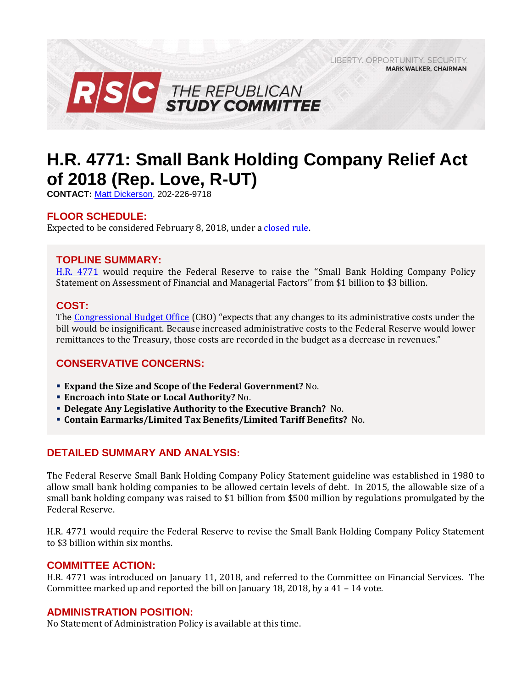LIBERTY, OPPORTUNITY, SECURITY, **MARK WALKER, CHAIRMAN** 



# **H.R. 4771: Small Bank Holding Company Relief Act of 2018 (Rep. Love, R-UT)**

**CONTACT:** [Matt Dickerson,](mailto:Matthew.Dickerson@mail.house.gov) 202-226-9718

### **FLOOR SCHEDULE:**

Expected to be considered February 8, 2018, under a [closed rule.](https://rules.house.gov/bill/115/hr-4771)

### **TOPLINE SUMMARY:**

[H.R. 4771](http://docs.house.gov/billsthisweek/20180205/BILLS-115HR4771-RCP115-57.pdf) would require the Federal Reserve to raise the "Small Bank Holding Company Policy Statement on Assessment of Financial and Managerial Factors'' from \$1 billion to \$3 billion.

#### **COST:**

The [Congressional Budget Office](https://www.cbo.gov/system/files/115th-congress-2017-2018/costestimate/hr4771.pdf) (CBO) "expects that any changes to its administrative costs under the bill would be insignificant. Because increased administrative costs to the Federal Reserve would lower remittances to the Treasury, those costs are recorded in the budget as a decrease in revenues."

## **CONSERVATIVE CONCERNS:**

- **Expand the Size and Scope of the Federal Government?** No.
- **Encroach into State or Local Authority?** No.
- **Delegate Any Legislative Authority to the Executive Branch?** No.
- **Contain Earmarks/Limited Tax Benefits/Limited Tariff Benefits?** No.

## **DETAILED SUMMARY AND ANALYSIS:**

The Federal Reserve Small Bank Holding Company Policy Statement guideline was established in 1980 to allow small bank holding companies to be allowed certain levels of debt. In 2015, the allowable size of a small bank holding company was raised to \$1 billion from \$500 million by regulations promulgated by the Federal Reserve.

H.R. 4771 would require the Federal Reserve to revise the Small Bank Holding Company Policy Statement to \$3 billion within six months.

#### **COMMITTEE ACTION:**

H.R. 4771 was introduced on January 11, 2018, and referred to the Committee on Financial Services. The Committee marked up and reported the bill on January 18, 2018, by a  $41 - 14$  vote.

#### **ADMINISTRATION POSITION:**

No Statement of Administration Policy is available at this time.